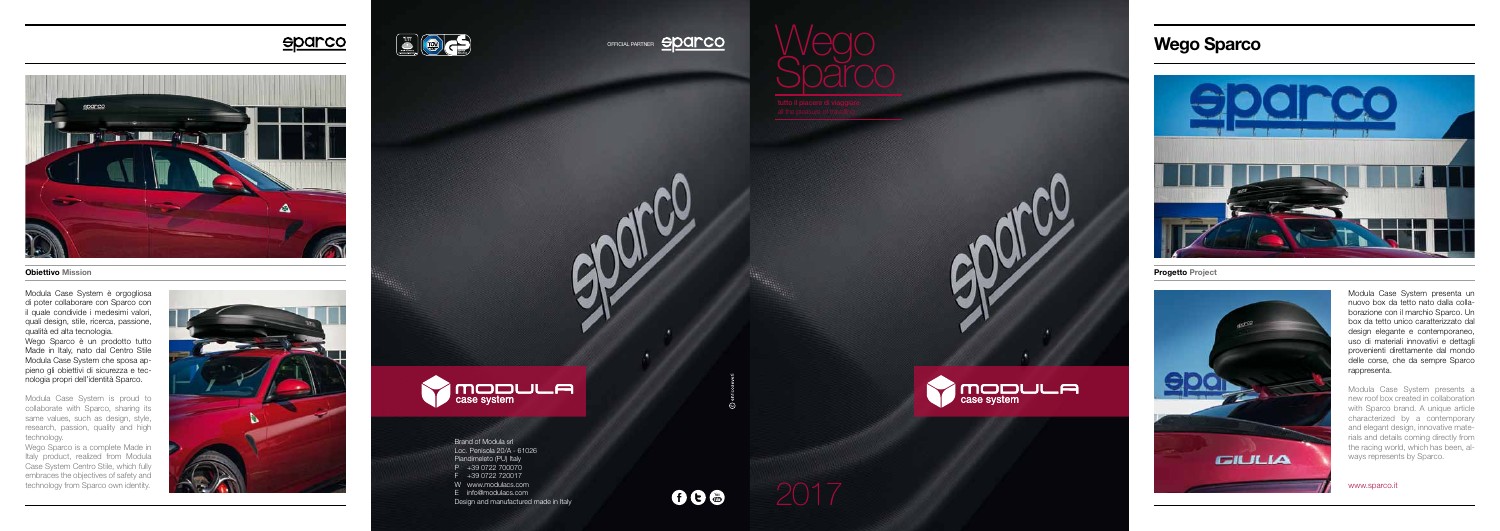OFFICIAL PARTNER **SPOINCO** 



<u>sparco</u>



Modula Case System presenta un nuovo box da tetto nato dalla colla borazione con il marchio Sparco. Un box da tetto unico caratterizzato dal design elegante e contemporaneo, uso di materiali innovativi e dettagli provenienti direttamente dal mondo delle corse, che da sempre Sparco rappresenta.

Modula Case System presents a new roof box created in collaboration with Sparco brand. A unique article characterized by a contemporary and elegant design, innovative mate rials and details coming directly from the racing world, which has been, al ways represents by Sparco.

www.sparco.it

**ANDDULA** 



Brand of Modula srl Loc. Penisola 20/A - 61026 Piandimeleto (PU) Italy P +39 0722 700070 F +39 0722 720017 W www.modulacs.com E info@modulacs.com Design and manufactured made in Italy

**Obiettivo Mission** Progetto Project

686

Wego Sparco





Modula Case System è orgogliosa di poter collaborare con Sparco con il quale condivide i medesimi valori, quali design, stile, ricerca, passione, qualità ed alta tecnologia.

Wego Sparco è un prodotto tutto Made in Italy, nato dal Centro Stile Modula Case System che sposa ap pieno gli obiettivi di sicurezza e tec nologia propri dell'identità Sparco.

Modula Case System is proud to collaborate with Sparco, sharing its same values, such as design, style, research, passion, quality and high technology.

Wego Sparco is a complete Made in Italy product, realized from Modula Case System Centro Stile, which fully embraces the objectives of safety and technology from Sparco own identity.